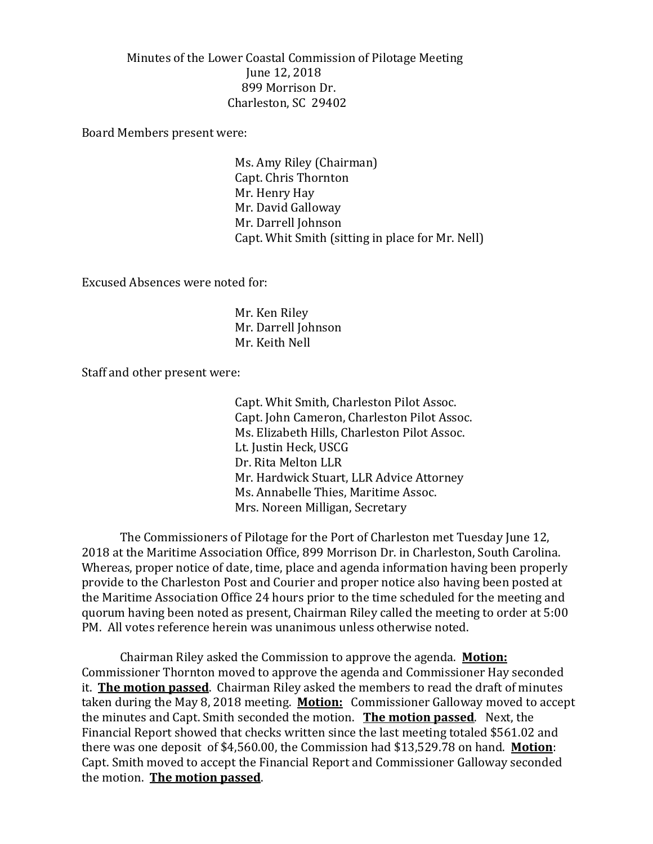Minutes of the Lower Coastal Commission of Pilotage Meeting June 12, 2018 899 Morrison Dr. Charleston, SC 29402

Board Members present were:

Ms. Amy Riley (Chairman) Capt. Chris Thornton Mr. Henry Hay Mr. David Galloway Mr. Darrell Johnson Capt. Whit Smith (sitting in place for Mr. Nell)

Excused Absences were noted for:

Mr. Ken Riley Mr. Darrell Johnson Mr. Keith Nell

Staff and other present were:

Capt. Whit Smith, Charleston Pilot Assoc. Capt. John Cameron, Charleston Pilot Assoc. Ms. Elizabeth Hills, Charleston Pilot Assoc. Lt. Justin Heck, USCG Dr. Rita Melton LLR Mr. Hardwick Stuart, LLR Advice Attorney Ms. Annabelle Thies, Maritime Assoc. Mrs. Noreen Milligan, Secretary

The Commissioners of Pilotage for the Port of Charleston met Tuesday June 12, 2018 at the Maritime Association Office, 899 Morrison Dr. in Charleston, South Carolina. Whereas, proper notice of date, time, place and agenda information having been properly provide to the Charleston Post and Courier and proper notice also having been posted at the Maritime Association Office 24 hours prior to the time scheduled for the meeting and quorum having been noted as present, Chairman Riley called the meeting to order at 5:00 PM. All votes reference herein was unanimous unless otherwise noted.

Chairman Riley asked the Commission to approve the agenda. **Motion:** Commissioner Thornton moved to approve the agenda and Commissioner Hay seconded it. **The motion passed**. Chairman Riley asked the members to read the draft of minutes taken during the May 8, 2018 meeting. **Motion:** Commissioner Galloway moved to accept the minutes and Capt. Smith seconded the motion. **The motion passed**. Next, the Financial Report showed that checks written since the last meeting totaled \$561.02 and there was one deposit of \$4,560.00, the Commission had \$13,529.78 on hand. **Motion**: Capt. Smith moved to accept the Financial Report and Commissioner Galloway seconded the motion. **The motion passed**.